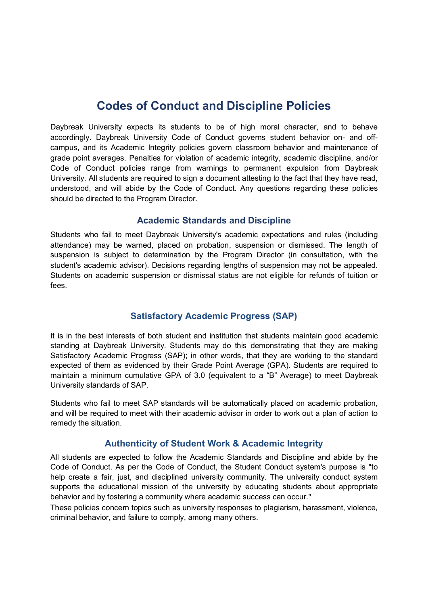# **Codes of Conduct and Discipline Policies**

Daybreak University expects its students to be of high moral character, and to behave accordingly. Daybreak University Code of Conduct governs student behavior on- and offcampus, and its Academic Integrity policies govern classroom behavior and maintenance of grade point averages. Penalties for violation of academic integrity, academic discipline, and/or Code of Conduct policies range from warnings to permanent expulsion from Daybreak University. All students are required to sign a document attesting to the fact that they have read, understood, and will abide by the Code of Conduct. Any questions regarding these policies should be directed to the Program Director.

### **Academic Standards and Discipline**

Students who fail to meet Daybreak University's academic expectations and rules (including attendance) may be warned, placed on probation, suspension or dismissed. The length of suspension is subject to determination by the Program Director (in consultation, with the student's academic advisor). Decisions regarding lengths of suspension may not be appealed. Students on academic suspension or dismissal status are not eligible for refunds of tuition or fees.

## **Satisfactory Academic Progress (SAP)**

It is in the best interests of both student and institution that students maintain good academic standing at Daybreak University. Students may do this demonstrating that they are making Satisfactory Academic Progress (SAP); in other words, that they are working to the standard expected of them as evidenced by their Grade Point Average (GPA). Students are required to maintain a minimum cumulative GPA of 3.0 (equivalent to a "B" Average) to meet Daybreak University standards of SAP.

Students who fail to meet SAP standards will be automatically placed on academic probation, and will be required to meet with their academic advisor in order to work out a plan of action to remedy the situation.

## **Authenticity of Student Work & Academic Integrity**

All students are expected to follow the Academic Standards and Discipline and abide by the Code of Conduct. As per the Code of Conduct, the Student Conduct system's purpose is "to help create a fair, just, and disciplined university community. The university conduct system supports the educational mission of the university by educating students about appropriate behavior and by fostering a community where academic success can occur."

These policies concern topics such as university responses to plagiarism, harassment, violence, criminal behavior, and failure to comply, among many others.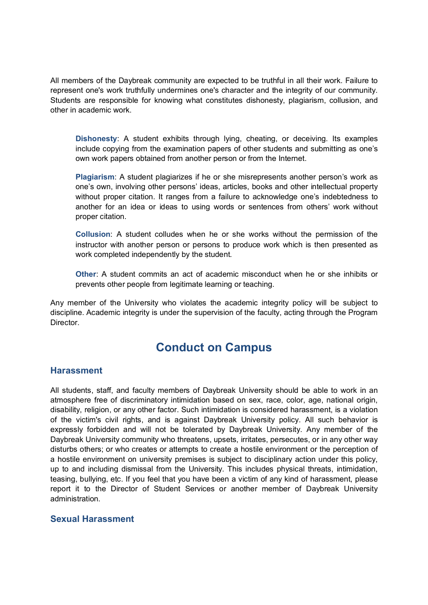All members of the Daybreak community are expected to be truthful in all their work. Failure to represent one's work truthfully undermines one's character and the integrity of our community. Students are responsible for knowing what constitutes dishonesty, plagiarism, collusion, and other in academic work.

**Dishonesty**: A student exhibits through lying, cheating, or deceiving. Its examples include copying from the examination papers of other students and submitting as one's own work papers obtained from another person or from the Internet.

**Plagiarism**: A student plagiarizes if he or she misrepresents another person's work as one's own, involving other persons' ideas, articles, books and other intellectual property without proper citation. It ranges from a failure to acknowledge one's indebtedness to another for an idea or ideas to using words or sentences from others' work without proper citation.

**Collusion**: A student colludes when he or she works without the permission of the instructor with another person or persons to produce work which is then presented as work completed independently by the student.

**Other**: A student commits an act of academic misconduct when he or she inhibits or prevents other people from legitimate learning or teaching.

Any member of the University who violates the academic integrity policy will be subject to discipline. Academic integrity is under the supervision of the faculty, acting through the Program Director.

## **Conduct on Campus**

### **Harassment**

All students, staff, and faculty members of Daybreak University should be able to work in an atmosphere free of discriminatory intimidation based on sex, race, color, age, national origin, disability, religion, or any other factor. Such intimidation is considered harassment, is a violation of the victim's civil rights, and is against Daybreak University policy. All such behavior is expressly forbidden and will not be tolerated by Daybreak University. Any member of the Daybreak University community who threatens, upsets, irritates, persecutes, or in any other way disturbs others; or who creates or attempts to create a hostile environment or the perception of a hostile environment on university premises is subject to disciplinary action under this policy, up to and including dismissal from the University. This includes physical threats, intimidation, teasing, bullying, etc. If you feel that you have been a victim of any kind of harassment, please report it to the Director of Student Services or another member of Daybreak University administration.

### **Sexual Harassment**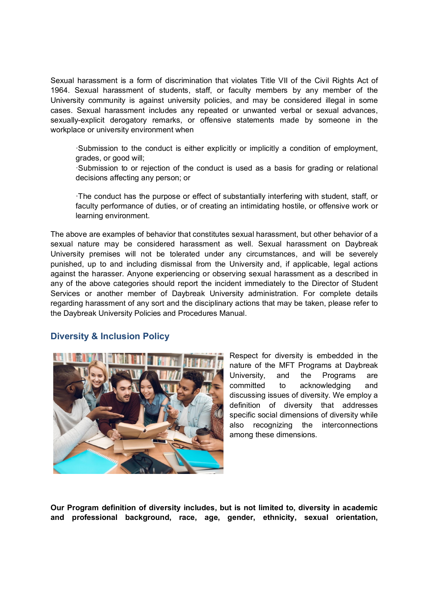Sexual harassment is a form of discrimination that violates Title VII of the Civil Rights Act of 1964. Sexual harassment of students, staff, or faculty members by any member of the University community is against university policies, and may be considered illegal in some cases. Sexual harassment includes any repeated or unwanted verbal or sexual advances, sexually-explicit derogatory remarks, or offensive statements made by someone in the workplace or university environment when

·Submission to the conduct is either explicitly or implicitly a condition of employment, grades, or good will;

·Submission to or rejection of the conduct is used as a basis for grading or relational decisions affecting any person; or

·The conduct has the purpose or effect of substantially interfering with student, staff, or faculty performance of duties, or of creating an intimidating hostile, or offensive work or learning environment.

The above are examples of behavior that constitutes sexual harassment, but other behavior of a sexual nature may be considered harassment as well. Sexual harassment on Daybreak University premises will not be tolerated under any circumstances, and will be severely punished, up to and including dismissal from the University and, if applicable, legal actions against the harasser. Anyone experiencing or observing sexual harassment as a described in any of the above categories should report the incident immediately to the Director of Student Services or another member of Daybreak University administration. For complete details regarding harassment of any sort and the disciplinary actions that may be taken, please refer to the Daybreak University Policies and Procedures Manual.

## **Diversity & Inclusion Policy**



Respect for diversity is embedded in the nature of the MFT Programs at Daybreak University, and the Programs are committed to acknowledging and discussing issues of diversity. We employ a definition of diversity that addresses specific social dimensions of diversity while also recognizing the interconnections among these dimensions.

**Our Program definition of diversity includes, but is not limited to, diversity in academic and professional background, race, age, gender, ethnicity, sexual orientation,**